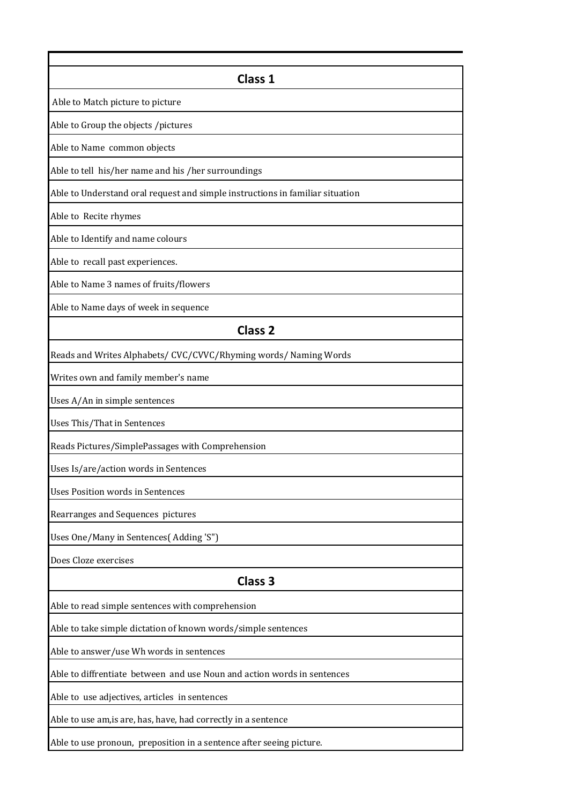| <b>Class 1</b>                                                                |
|-------------------------------------------------------------------------------|
| Able to Match picture to picture                                              |
| Able to Group the objects /pictures                                           |
| Able to Name common objects                                                   |
| Able to tell his/her name and his /her surroundings                           |
| Able to Understand oral request and simple instructions in familiar situation |
| Able to Recite rhymes                                                         |
| Able to Identify and name colours                                             |
| Able to recall past experiences.                                              |
| Able to Name 3 names of fruits/flowers                                        |
| Able to Name days of week in sequence                                         |
| <b>Class 2</b>                                                                |
| Reads and Writes Alphabets/ CVC/CVVC/Rhyming words/ Naming Words              |
| Writes own and family member's name                                           |
| Uses A/An in simple sentences                                                 |
| Uses This/That in Sentences                                                   |
| Reads Pictures/SimplePassages with Comprehension                              |
| Uses Is/are/action words in Sentences                                         |
| <b>Uses Position words in Sentences</b>                                       |
| Rearranges and Sequences pictures                                             |
| Uses One/Many in Sentences(Adding 'S")                                        |
| Does Cloze exercises                                                          |
| <b>Class 3</b>                                                                |
| Able to read simple sentences with comprehension                              |
| Able to take simple dictation of known words/simple sentences                 |
| Able to answer/use Wh words in sentences                                      |
| Able to diffrentiate between and use Noun and action words in sentences       |
| Able to use adjectives, articles in sentences                                 |
| Able to use am, is are, has, have, had correctly in a sentence                |
| Able to use pronoun, preposition in a sentence after seeing picture.          |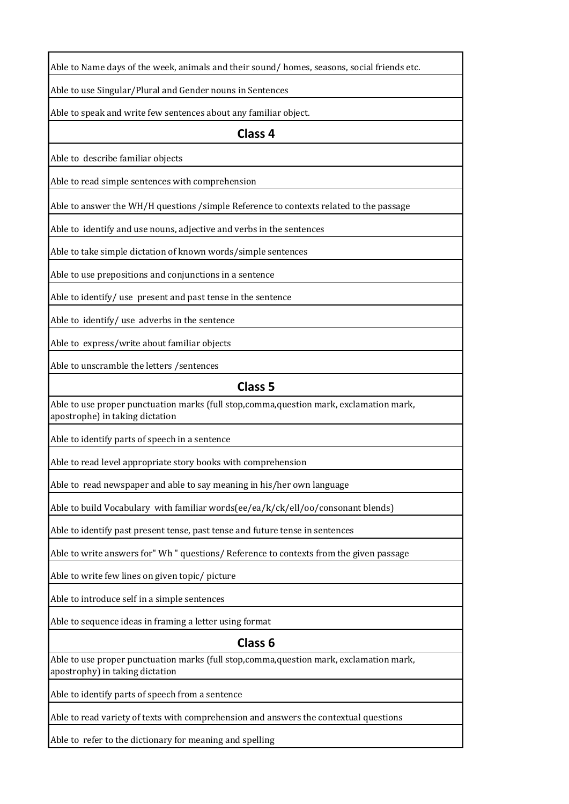| Able to Name days of the week, animals and their sound/homes, seasons, social friends etc.                                |
|---------------------------------------------------------------------------------------------------------------------------|
| Able to use Singular/Plural and Gender nouns in Sentences                                                                 |
| Able to speak and write few sentences about any familiar object.                                                          |
| <b>Class 4</b>                                                                                                            |
| Able to describe familiar objects                                                                                         |
| Able to read simple sentences with comprehension                                                                          |
| Able to answer the WH/H questions /simple Reference to contexts related to the passage                                    |
| Able to identify and use nouns, adjective and verbs in the sentences                                                      |
| Able to take simple dictation of known words/simple sentences                                                             |
| Able to use prepositions and conjunctions in a sentence                                                                   |
| Able to identify/ use present and past tense in the sentence                                                              |
| Able to identify/ use adverbs in the sentence                                                                             |
| Able to express/write about familiar objects                                                                              |
| Able to unscramble the letters / sentences                                                                                |
| <b>Class 5</b>                                                                                                            |
| Able to use proper punctuation marks (full stop,comma,question mark, exclamation mark,<br>apostrophe) in taking dictation |
| Able to identify parts of speech in a sentence                                                                            |
| Able to read level appropriate story books with comprehension                                                             |
| Able to read newspaper and able to say meaning in his/her own language                                                    |
| Able to build Vocabulary with familiar words (ee/ea/k/ck/ell/00/consonant blends)                                         |
| Able to identify past present tense, past tense and future tense in sentences                                             |
| Able to write answers for" Wh " questions/ Reference to contexts from the given passage                                   |
| Able to write few lines on given topic/ picture                                                                           |
| Able to introduce self in a simple sentences                                                                              |
| Able to sequence ideas in framing a letter using format                                                                   |
| Class <sub>6</sub>                                                                                                        |
| Able to use proper punctuation marks (full stop,comma,question mark, exclamation mark,<br>apostrophy) in taking dictation |
| Able to identify parts of speech from a sentence                                                                          |
| Able to read variety of texts with comprehension and answers the contextual questions                                     |
| Able to refer to the dictionary for meaning and spelling                                                                  |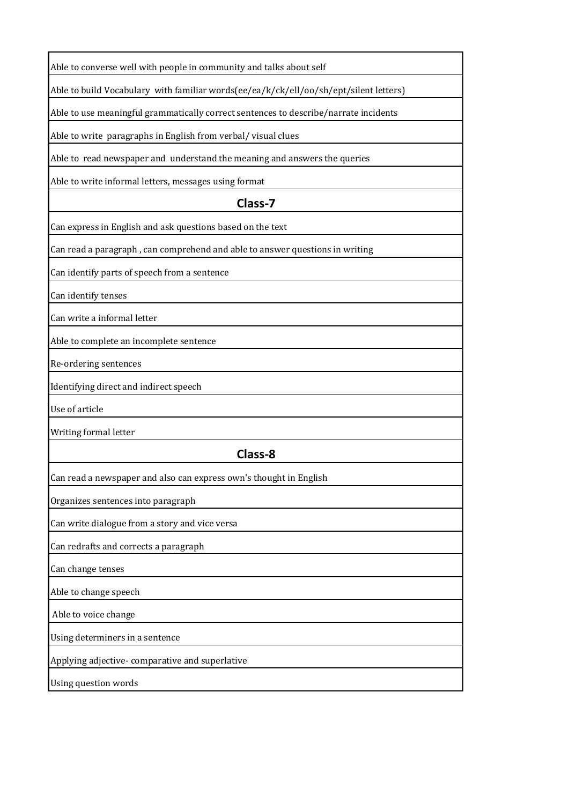| Able to converse well with people in community and talks about self                   |
|---------------------------------------------------------------------------------------|
| Able to build Vocabulary with familiar words(ee/ea/k/ck/ell/oo/sh/ept/silent letters) |
| Able to use meaningful grammatically correct sentences to describe/narrate incidents  |
| Able to write paragraphs in English from verbal/ visual clues                         |
| Able to read newspaper and understand the meaning and answers the queries             |
| Able to write informal letters, messages using format                                 |
| Class-7                                                                               |
| Can express in English and ask questions based on the text                            |
| Can read a paragraph, can comprehend and able to answer questions in writing          |
| Can identify parts of speech from a sentence                                          |
| Can identify tenses                                                                   |
| Can write a informal letter                                                           |
| Able to complete an incomplete sentence                                               |
| Re-ordering sentences                                                                 |
| Identifying direct and indirect speech                                                |
| Use of article                                                                        |
| Writing formal letter                                                                 |
| Class-8                                                                               |
| Can read a newspaper and also can express own's thought in English                    |
| Organizes sentences into paragraph                                                    |
| Can write dialogue from a story and vice versa                                        |
| Can redrafts and corrects a paragraph                                                 |
| Can change tenses                                                                     |
| Able to change speech                                                                 |
| Able to voice change                                                                  |
| Using determiners in a sentence                                                       |
| Applying adjective-comparative and superlative                                        |
| Using question words                                                                  |
|                                                                                       |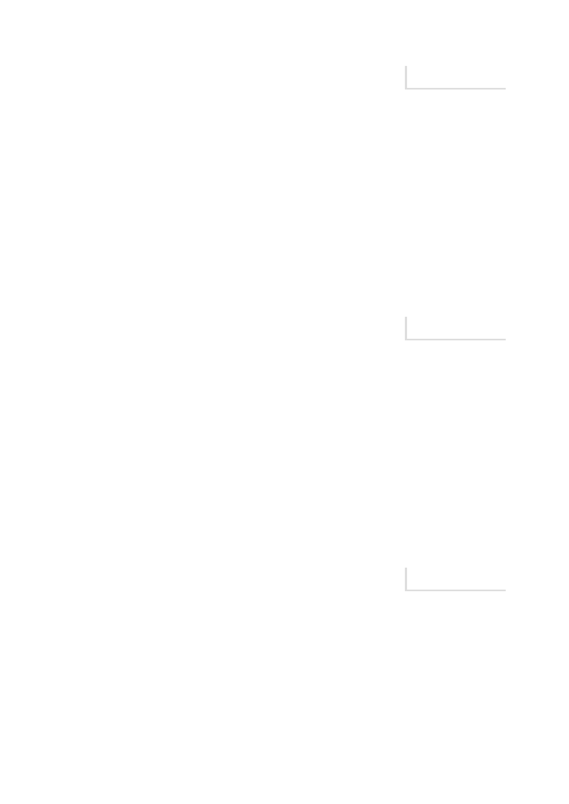$\mathcal{L}^{\text{max}}$  $\mathcal{L}^{\text{max}}(\mathcal{L}^{\text{max}})$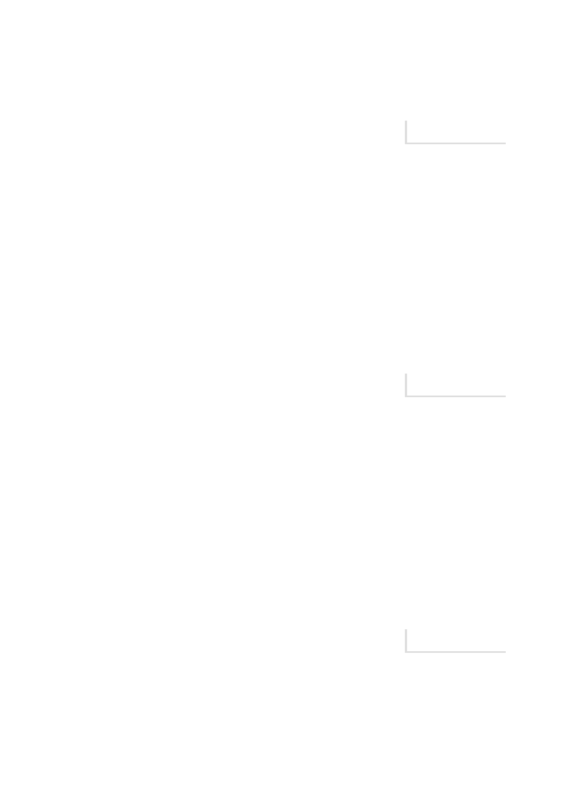$\overline{\phantom{a}}$  $\mathcal{L}^{\text{max}}$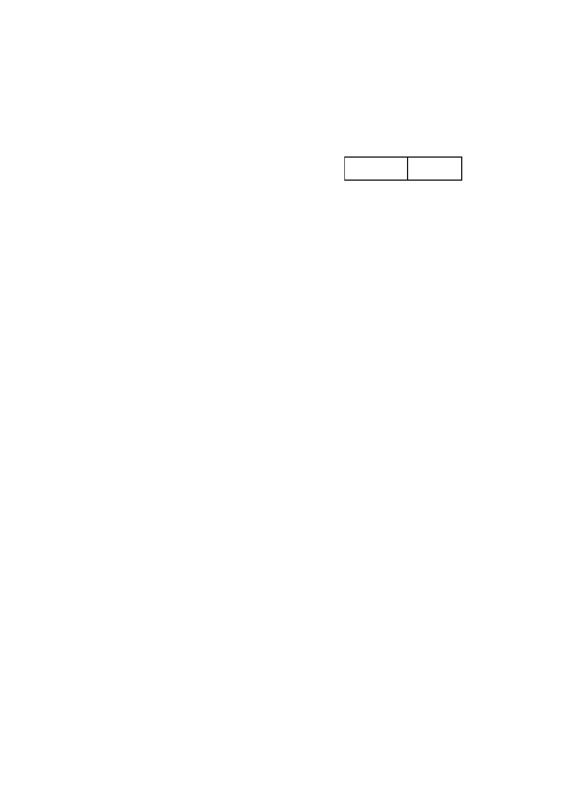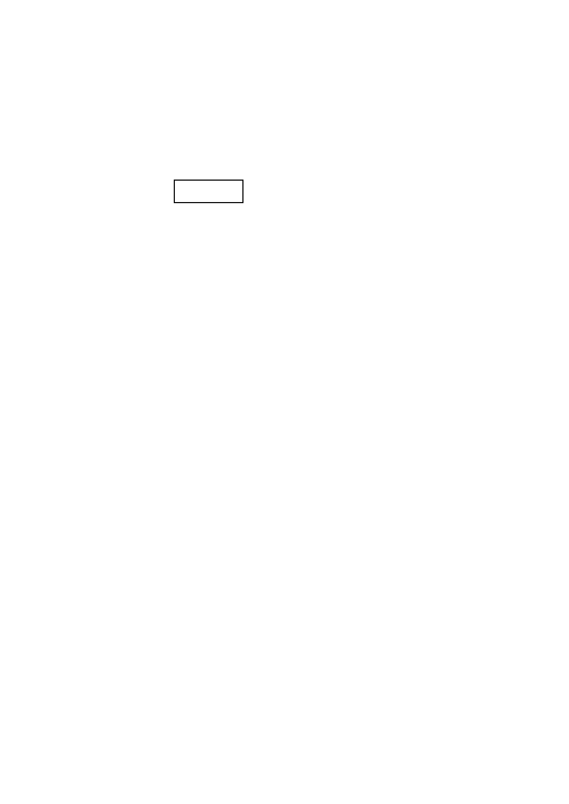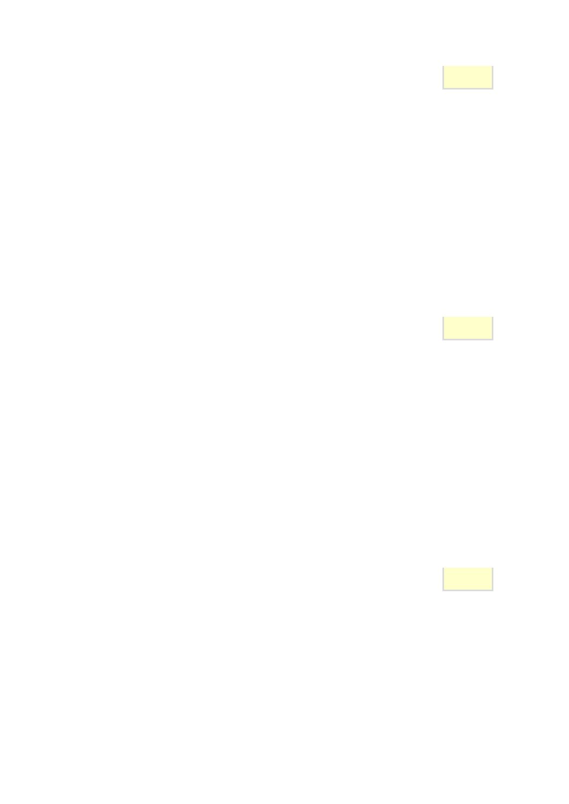$\mathcal{L}^{\text{max}}$ 

 $\mathcal{L}^{\text{max}}$ 

 $\mathcal{L}^{\text{max}}$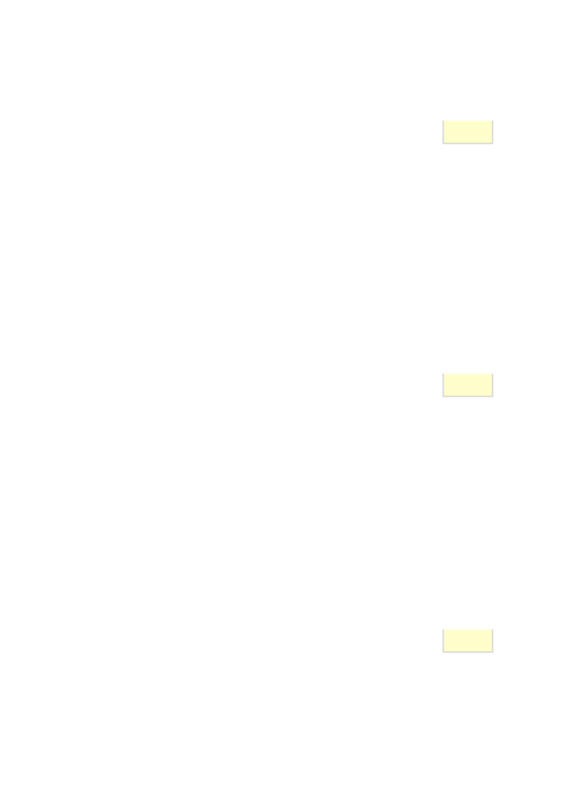$\mathcal{L}^{\text{max}}$ 

 $\mathcal{L}^{\text{max}}$ 

 $\mathcal{L}^{\text{max}}$